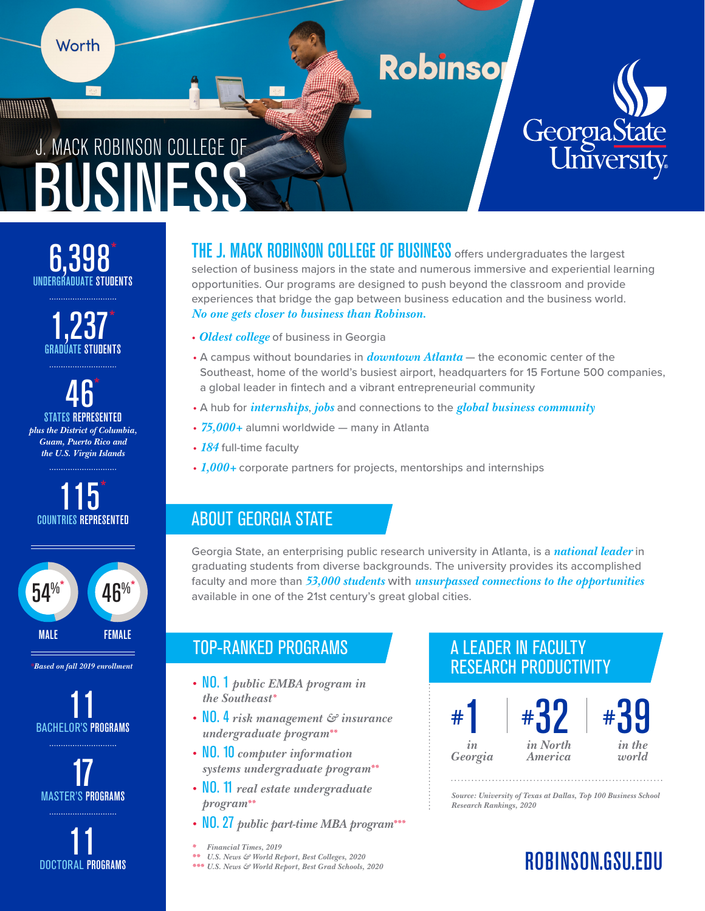

## **Robinso**



# BUSINESS J. MACK ROBINSON COLLEGE OF

UNDERGRADUATE STUDENTS 6,398\*



 $\overline{46}^*$ states represented *plus the District of Columbia, Guam, Puerto Rico and the U.S. Virgin Islands* 





*\*Based on fall 2019 enrollment*

ed **11**<br>Bachelor's programs





THE J. MACK ROBINSON COLLEGE OF BUSINESS offers undergraduates the largest selection of business majors in the state and numerous immersive and experiential learning opportunities. Our programs are designed to push beyond the classroom and provide experiences that bridge the gap between business education and the business world. *No one gets closer to business than Robinson.*

- *Oldest college* of business in Georgia
- A campus without boundaries in *downtown Atlanta* the economic center of the Southeast, home of the world's busiest airport, headquarters for 15 Fortune 500 companies, a global leader in fintech and a vibrant entrepreneurial community
- A hub for *internships*, *jobs* and connections to the *global business community*
- *75,000+* alumni worldwide many in Atlanta
- *184* full-time faculty
- *1,000+* corporate partners for projects, mentorships and internships

## ABOUT GEORGIA STATE

Georgia State, an enterprising public research university in Atlanta, is a *national leader* in graduating students from diverse backgrounds. The university provides its accomplished faculty and more than *53,000 students* with *unsurpassed connections to the opportunities* available in one of the 21st century's great global cities.

## TOP-RANKED PROGRAMS

- NO. 1 *public EMBA program in the Southeast\**
- NO. 4 *risk management & insurance undergraduate program\*\**
- NO. 10 *computer information systems undergraduate program\*\**
- NO. 11 *real estate undergraduate program\*\**
- NO. 27 *public part-time MBA program\*\*\**
- *\* Financial Times, 2019*
- *\*\* U.S. News & World Report, Best Colleges, 2020*

*\*\*\* U.S. News & World Report, Best Grad Schools, 2020*

## A LEADER IN FACULTY RESEARCH PRODUCTIVITY







*Source: University of Texas at Dallas, Top 100 Business School Research Rankings, 2020*